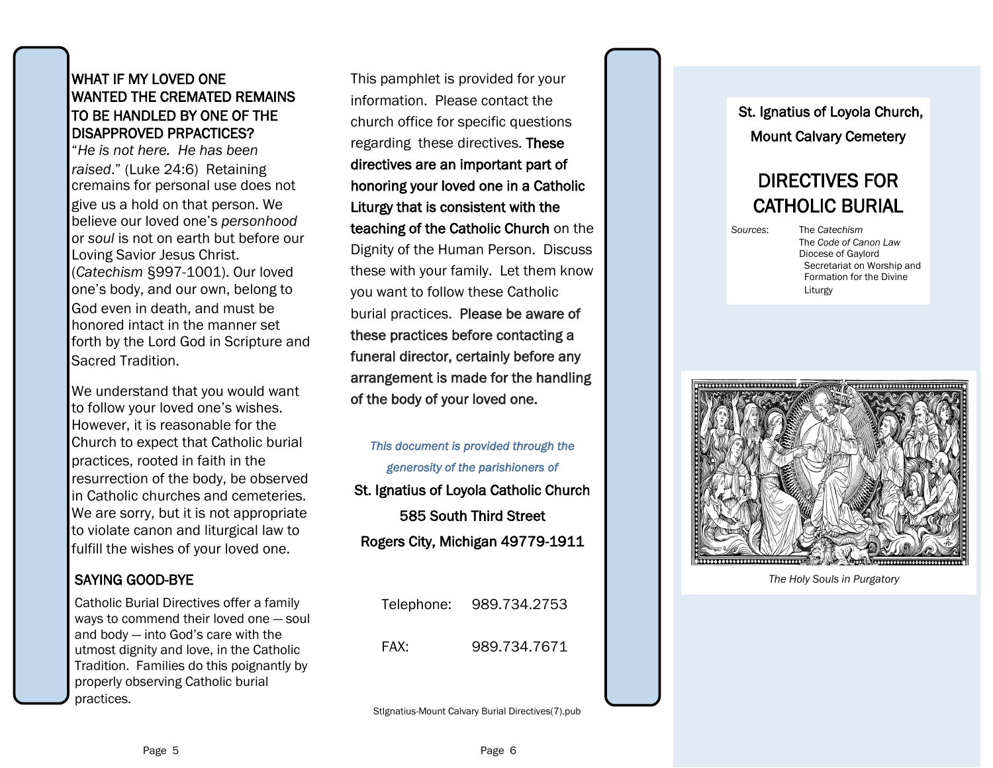#### WHAT IF MY LOVED ONE WANTED THE CREMATED REMAINS TO BE HANDLED BY ONE OF THE DISAPPROVED PRPACTICES?

"*He is not here. He has been raised*." (Luke 24:6) Retaining cremains for personal use does not give us a hold on that person. We believe our loved one's *personhood*  or *soul* is not on earth but before our Loving Savior Jesus Christ. (*Catechism* §997-1001). Our loved one's body, and our own, belong to God even in death, and must be honored intact in the manner set forth by the Lord God in Scripture and Sacred Tradition.

We understand that you would want to follow your loved one's wishes. However, it is reasonable for the Church to expect that Catholic burial practices, rooted in faith in the resurrection of the body, be observed in Catholic churches and cemeteries. We are sorry, but it is not appropriate to violate canon and liturgical law to fulfill the wishes of your loved one.

# SAYING GOOD -BYE

Catholic Burial Directives offer a family ways to commend their loved one — soul and body — into God's care with the utmost dignity and love, in the Catholic Tradition. Families do this poignantly by properly observing Catholic burial practices.

mation. Piease contact the particle of Loyola Church, Telestion of Loyola Church, The particle of Loyola Church, the Human Person. Discuss<br>
We are an important part of Mount Calvary Cemetery<br>
where are an important part of This pamphlet is provided for your information. Please contact the church office for specific questions regarding these directives. These directives are an important part of honoring your loved one in a Catholic Liturgy that is consistent with the teaching of the Catholic Church on the Dignity of the Human Person. Discuss these with your family. Let them know you want to follow these Catholic burial practices. Please be aware of these practices before contacting a funeral director, certainly before any arrangement is made for the handling of the body of your loved one.

*This document is provided through the generosity of the parishioners of*  St. Ignatius of Loyola Catholic Church 585 South Third Street Rogers City, Michigan 49779 -1911

| Telephone: | 989.734.2753 |
|------------|--------------|
| FAX:       | 989.734.7671 |

StIgnatius -Mount Calvary Burial Directives(7).pub

# Mount Calvary Cemetery

# DIRECTIVES FOR CATHOLIC BURIAL

*Sources*: The *Catechism*





*The Holy Souls in Purgatory*